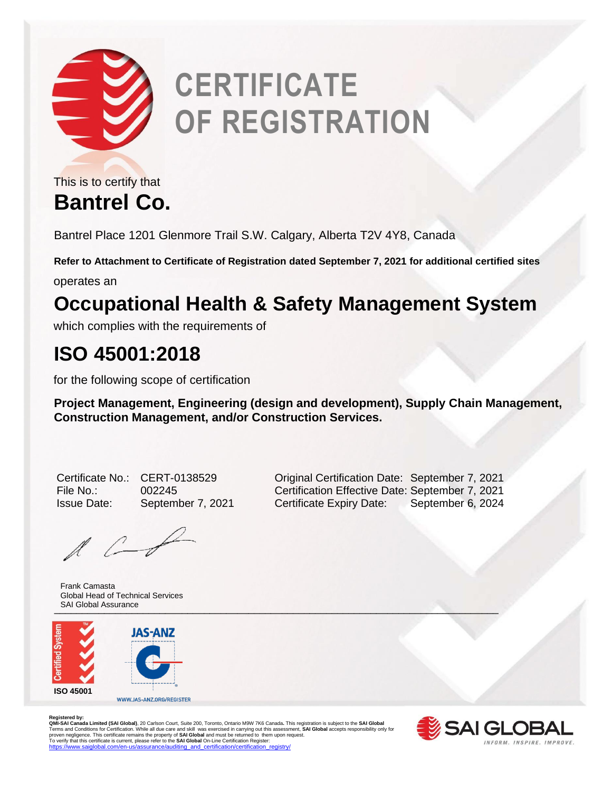

## **CERTIFICATE OF REGISTRATION**

**Bantrel Co.** This is to certify that

Bantrel Place 1201 Glenmore Trail S.W. Calgary, Alberta T2V 4Y8, Canada

**Refer to Attachment to Certificate of Registration dated September 7, 2021 for additional certified sites**

operates an

## **Occupational Health & Safety Management System**

which complies with the requirements of

## **ISO 45001:2018**

for the following scope of certification

**Project Management, Engineering (design and development), Supply Chain Management, Construction Management, and/or Construction Services.** 

 $\ell$ 

 $\blacksquare$ Frank Camasta Global Head of Technical Services SAI Global Assurance



Registered by:<br>**QMI-SAI Limited (SAI Global)**, 20 Carlson Court, Suite 200, Toronto, Ontario M9W 7K6 Canada. This registration is subject to the **SAI Global**<br>**QMI-SAI Canada Limited (SAI Global)**, 20 Carlson Court, Suite 2



Certificate No.: CERT-0138529 Original Certification Date: September 7, 2021 File No.: 002245 Certification Effective Date: September 7, 2021 Issue Date: September 7, 2021 Certificate Expiry Date: September 6, 2024